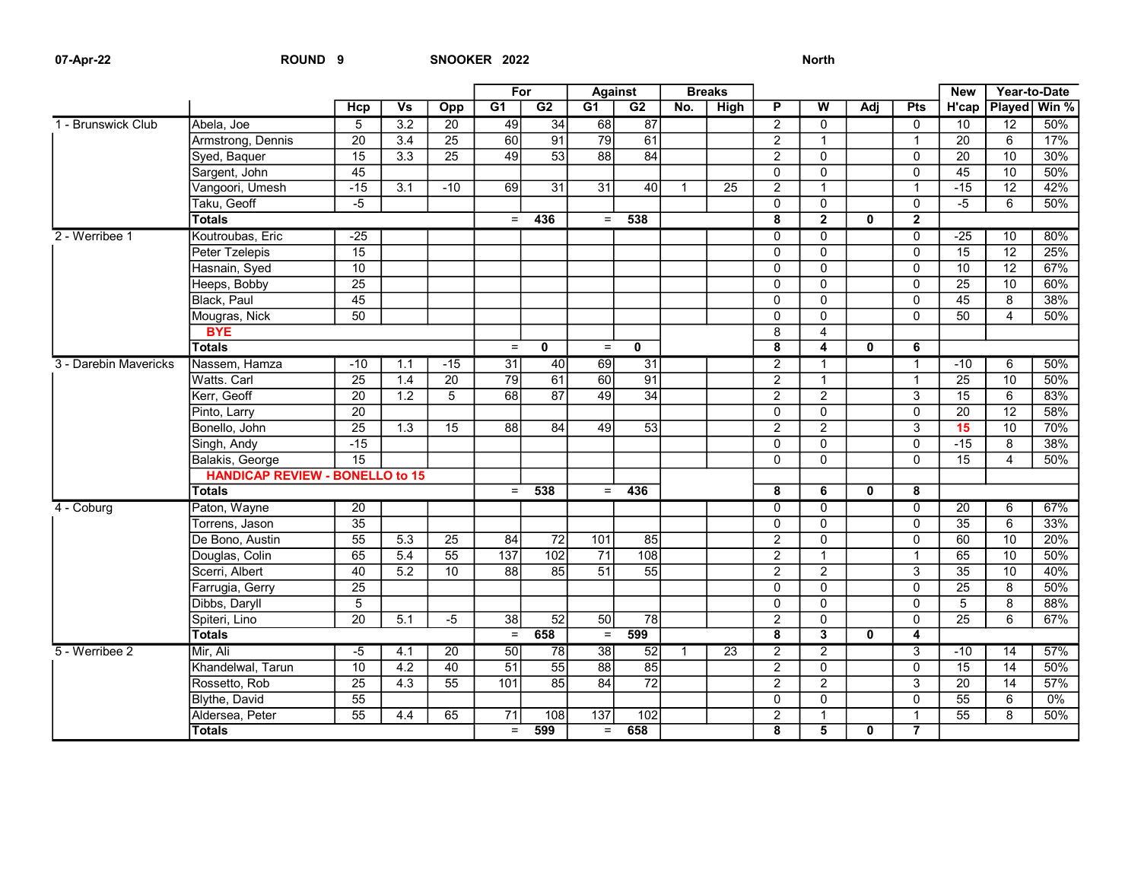## 07-Apr-22 ROUND 9 SNOOKER 2022 SOUND 9

|                       |                                        |                 |                           |                 | For              |                 | <b>Against</b>  |                  | <b>Breaks</b>    |                 |                         |                         |              |                | <b>New</b>      | Year-to-Date    |         |
|-----------------------|----------------------------------------|-----------------|---------------------------|-----------------|------------------|-----------------|-----------------|------------------|------------------|-----------------|-------------------------|-------------------------|--------------|----------------|-----------------|-----------------|---------|
|                       |                                        | Hcp             | $\overline{\mathsf{V}}$ s | Opp             | G <sub>1</sub>   | $\overline{G2}$ | $\overline{G1}$ | $\overline{G2}$  | $\overline{No.}$ | <b>High</b>     | P                       | $\overline{\mathsf{w}}$ | Adj          | Pts            | H'cap           | Played          | Win $%$ |
| 1 - Brunswick Club    | Abela. Joe                             | $\overline{5}$  | 3.2                       | $\overline{20}$ | 49               | 34              | 68              | 87               |                  |                 | $\overline{2}$          | $\Omega$                |              | $\Omega$       | $\overline{10}$ | 12              | 50%     |
|                       | Armstrong, Dennis                      | $\overline{20}$ | $\overline{3.4}$          | $\overline{25}$ | 60               | 91              | 79              | 61               |                  |                 | $\overline{2}$          | $\mathbf{1}$            |              | $\mathbf{1}$   | $\overline{20}$ | 6               | 17%     |
|                       | Syed, Baquer                           | $\overline{15}$ | 3.3                       | $\overline{25}$ | 49               | $\overline{53}$ | $\overline{88}$ | 84               |                  |                 | $\overline{2}$          | $\mathbf 0$             |              | $\mathbf 0$    | $\overline{20}$ | $\overline{10}$ | 30%     |
|                       | Sargent, John                          | 45              |                           |                 |                  |                 |                 |                  |                  |                 | $\Omega$                | 0                       |              | $\Omega$       | 45              | 10              | 50%     |
|                       | Vangoori, Umesh                        | $-15$           | $\overline{3.1}$          | $-10$           | 69               | $\overline{31}$ | $\overline{31}$ | 40               | $\mathbf{1}$     | 25              | $\overline{2}$          | $\overline{1}$          |              | $\mathbf{1}$   | $-15$           | $\overline{12}$ | 42%     |
|                       | Taku, Geoff                            | $-5$            |                           |                 |                  |                 |                 |                  |                  |                 | $\mathbf{0}$            | $\mathbf 0$             |              | $\mathbf 0$    | $-5$            | 6               | 50%     |
|                       | <b>Totals</b>                          |                 |                           |                 | $=$              | 436             | $=$             | 538              |                  |                 | 8                       | $\overline{2}$          | $\mathbf{0}$ | $\overline{2}$ |                 |                 |         |
| 2 - Werribee 1        | Koutroubas, Eric                       | $-25$           |                           |                 |                  |                 |                 |                  |                  |                 | $\Omega$                | $\overline{0}$          |              | $\overline{0}$ | $-25$           | 10              | 80%     |
|                       | Peter Tzelepis                         | $\overline{15}$ |                           |                 |                  |                 |                 |                  |                  |                 | $\Omega$                | $\mathbf 0$             |              | $\Omega$       | $\overline{15}$ | $\overline{12}$ | 25%     |
|                       | Hasnain, Syed                          | $\overline{10}$ |                           |                 |                  |                 |                 |                  |                  |                 | $\Omega$                | $\mathbf 0$             |              | $\Omega$       | 10              | 12              | 67%     |
|                       | Heeps, Bobby                           | 25              |                           |                 |                  |                 |                 |                  |                  |                 | $\Omega$                | $\overline{0}$          |              | $\Omega$       | 25              | 10              | 60%     |
|                       | Black, Paul                            | 45              |                           |                 |                  |                 |                 |                  |                  |                 | $\Omega$                | $\Omega$                |              | $\Omega$       | 45              | 8               | 38%     |
|                       | Mougras, Nick                          | 50              |                           |                 |                  |                 |                 |                  |                  |                 | $\overline{0}$          | $\overline{0}$          |              | $\overline{0}$ | 50              | $\overline{4}$  | 50%     |
|                       | <b>BYE</b>                             |                 |                           |                 |                  |                 |                 |                  |                  |                 | 8                       | 4                       |              |                |                 |                 |         |
|                       | <b>Totals</b>                          |                 |                           |                 | $\equiv$         | $\mathbf 0$     | $\equiv$        | $\mathbf 0$      |                  |                 | 8                       | $\overline{4}$          | $\mathbf{0}$ | 6              |                 |                 |         |
| 3 - Darebin Mavericks | Nassem, Hamza                          | $-10$           | 1.1                       | $-15$           | 31               | 40              | 69              | $\overline{31}$  |                  |                 | $\overline{2}$          | $\mathbf{1}$            |              | $\mathbf{1}$   | $-10$           | 6               | 50%     |
|                       | Watts. Carl                            | $\overline{25}$ | 1.4                       | $\overline{20}$ | 79               | 61              | 60              | $\overline{91}$  |                  |                 | $\overline{2}$          | $\mathbf{1}$            |              | $\mathbf{1}$   | $\overline{25}$ | 10              | 50%     |
|                       | Kerr, Geoff                            | $\overline{20}$ | $\overline{1.2}$          | $\overline{5}$  | 68               | $\overline{87}$ | $\overline{49}$ | $\overline{34}$  |                  |                 | $\overline{2}$          | $\overline{2}$          |              | 3              | 15              | 6               | 83%     |
|                       | Pinto, Larry                           | $\overline{20}$ |                           |                 |                  |                 |                 |                  |                  |                 | $\Omega$                | $\mathbf 0$             |              | $\Omega$       | 20              | 12              | 58%     |
|                       | Bonello, John                          | $\overline{25}$ | 1.3                       | 15              | 88               | 84              | 49              | 53               |                  |                 | $\overline{2}$          | $\overline{2}$          |              | 3              | 15              | 10              | 70%     |
|                       | Singh, Andy                            | $-15$           |                           |                 |                  |                 |                 |                  |                  |                 | $\Omega$                | $\overline{0}$          |              | $\mathbf{0}$   | $-15$           | 8               | 38%     |
|                       | Balakis, George                        | $\overline{15}$ |                           |                 |                  |                 |                 |                  |                  |                 | $\Omega$                | $\Omega$                |              | $\Omega$       | $\overline{15}$ | 4               | 50%     |
|                       | <b>HANDICAP REVIEW - BONELLO to 15</b> |                 |                           |                 |                  |                 |                 |                  |                  |                 |                         |                         |              |                |                 |                 |         |
|                       | <b>Totals</b>                          |                 |                           |                 | $=$              | 538             | $=$             | 436              |                  |                 | $\overline{8}$          | 6                       | $\mathbf{0}$ | 8              |                 |                 |         |
| 4 - Coburg            | Paton, Wayne                           | 20              |                           |                 |                  |                 |                 |                  |                  |                 | $\Omega$                | 0                       |              | $\Omega$       | $\overline{20}$ | 6               | 67%     |
|                       | Torrens, Jason                         | $\overline{35}$ |                           |                 |                  |                 |                 |                  |                  |                 | $\Omega$                | $\overline{0}$          |              | $\Omega$       | $\overline{35}$ | 6               | 33%     |
|                       | De Bono, Austin                        | $\overline{55}$ | $\overline{5.3}$          | $\overline{25}$ | 84               | $\overline{72}$ | 101             | 85               |                  |                 | $\overline{2}$          | $\mathbf 0$             |              | $\Omega$       | 60              | 10              | 20%     |
|                       | Douglas, Colin                         | 65              | 5.4                       | $\overline{55}$ | $\overline{137}$ | 102             | $\overline{71}$ | $\overline{108}$ |                  |                 | $\overline{2}$          | $\overline{1}$          |              | $\mathbf{1}$   | 65              | 10              | 50%     |
|                       | Scerri, Albert                         | $\overline{40}$ | 5.2                       | 10              | 88               | 85              | $\overline{51}$ | 55               |                  |                 | $\overline{2}$          | $\overline{2}$          |              | 3              | 35              | 10              | 40%     |
|                       | Farrugia, Gerry                        | $\overline{25}$ |                           |                 |                  |                 |                 |                  |                  |                 | $\Omega$                | $\mathbf 0$             |              | $\Omega$       | $\overline{25}$ | 8               | 50%     |
|                       | Dibbs, Daryll                          | $\overline{5}$  |                           |                 |                  |                 |                 |                  |                  |                 | $\Omega$                | $\overline{0}$          |              | $\Omega$       | $\overline{5}$  | 8               | 88%     |
|                       | Spiteri, Lino                          | 20              | 5.1                       | $-5$            | $\overline{38}$  | 52              | 50              | $\overline{78}$  |                  |                 | $\overline{2}$          | $\mathsf{o}$            |              | $\Omega$       | $\overline{25}$ | 6               | 67%     |
|                       | <b>Totals</b>                          |                 |                           |                 | $\equiv$         | 658             | $\equiv$        | 599              |                  |                 | $\overline{\mathbf{8}}$ | $\overline{\mathbf{3}}$ | $\mathbf{0}$ | 4              |                 |                 |         |
| 5 - Werribee 2        | Mir, Ali                               | $-5$            | 4.1                       | $\overline{20}$ | 50               | 78              | 38              | 52               | $\mathbf{1}$     | $\overline{23}$ | $\overline{2}$          | $\overline{2}$          |              | $\overline{3}$ | $-10$           | 14              | 57%     |
|                       | Khandelwal, Tarun                      | $\overline{10}$ | $\overline{4.2}$          | 40              | $\overline{51}$  | $\overline{55}$ | $\overline{88}$ | $\overline{85}$  |                  |                 | $\overline{2}$          | $\overline{0}$          |              | $\Omega$       | $\overline{15}$ | $\overline{14}$ | 50%     |
|                       | Rossetto, Rob                          | 25              | 4.3                       | 55              | 101              | 85              | 84              | $\overline{72}$  |                  |                 | $\overline{2}$          | $\overline{2}$          |              | 3              | 20              | 14              | 57%     |
|                       | Blythe, David                          | $\overline{55}$ |                           |                 |                  |                 |                 |                  |                  |                 | $\mathbf{0}$            | $\overline{0}$          |              | $\Omega$       | $\overline{55}$ | 6               | $0\%$   |
|                       | Aldersea, Peter                        | 55              | 4.4                       | 65              | $\overline{71}$  | 108             | 137             | 102              |                  |                 | $\overline{2}$          | $\mathbf{1}$            |              | $\mathbf{1}$   | $\overline{55}$ | 8               | 50%     |
|                       | <b>Totals</b>                          |                 |                           |                 | $=$              | 599             | $=$             | 658              |                  |                 | $\overline{\mathbf{8}}$ | $\overline{5}$          | $\mathbf{0}$ | $\overline{7}$ |                 |                 |         |